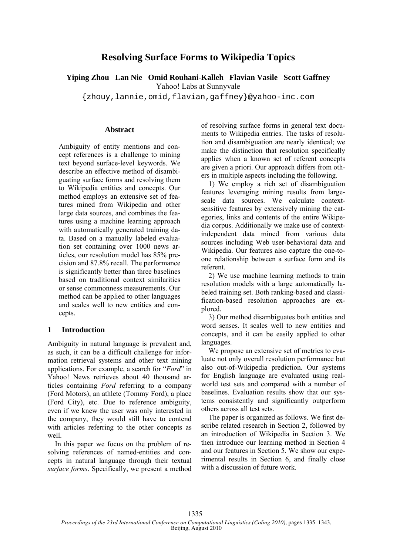# **Resolving Surface Forms to Wikipedia Topics**

**Yiping Zhou Lan Nie Omid Rouhani-Kalleh Flavian Vasile Scott Gaffney** 

Yahoo! Labs at Sunnyvale

{zhouy,lannie,omid,flavian,gaffney}@yahoo-inc.com

### **Abstract**

Ambiguity of entity mentions and concept references is a challenge to mining text beyond surface-level keywords. We describe an effective method of disambiguating surface forms and resolving them to Wikipedia entities and concepts. Our method employs an extensive set of features mined from Wikipedia and other large data sources, and combines the features using a machine learning approach with automatically generated training data. Based on a manually labeled evaluation set containing over 1000 news articles, our resolution model has 85% precision and 87.8% recall. The performance is significantly better than three baselines based on traditional context similarities or sense commonness measurements. Our method can be applied to other languages and scales well to new entities and concepts.

## **1 Introduction**

Ambiguity in natural language is prevalent and, as such, it can be a difficult challenge for information retrieval systems and other text mining applications. For example, a search for "*Ford*" in Yahoo! News retrieves about 40 thousand articles containing *Ford* referring to a company (Ford Motors), an athlete (Tommy Ford), a place (Ford City), etc. Due to reference ambiguity, even if we knew the user was only interested in the company, they would still have to contend with articles referring to the other concepts as well.

In this paper we focus on the problem of resolving references of named-entities and concepts in natural language through their textual *surface forms*. Specifically, we present a method of resolving surface forms in general text documents to Wikipedia entries. The tasks of resolution and disambiguation are nearly identical; we make the distinction that resolution specifically applies when a known set of referent concepts are given a priori. Our approach differs from others in multiple aspects including the following.

1) We employ a rich set of disambiguation features leveraging mining results from largescale data sources. We calculate contextsensitive features by extensively mining the categories, links and contents of the entire Wikipedia corpus. Additionally we make use of contextindependent data mined from various data sources including Web user-behavioral data and Wikipedia. Our features also capture the one-toone relationship between a surface form and its referent.

2) We use machine learning methods to train resolution models with a large automatically labeled training set. Both ranking-based and classification-based resolution approaches are explored.

3) Our method disambiguates both entities and word senses. It scales well to new entities and concepts, and it can be easily applied to other languages.

We propose an extensive set of metrics to evaluate not only overall resolution performance but also out-of-Wikipedia prediction. Our systems for English language are evaluated using realworld test sets and compared with a number of baselines. Evaluation results show that our systems consistently and significantly outperform others across all test sets.

The paper is organized as follows. We first describe related research in Section 2, followed by an introduction of Wikipedia in Section 3. We then introduce our learning method in Section 4 and our features in Section 5. We show our experimental results in Section 6, and finally close with a discussion of future work.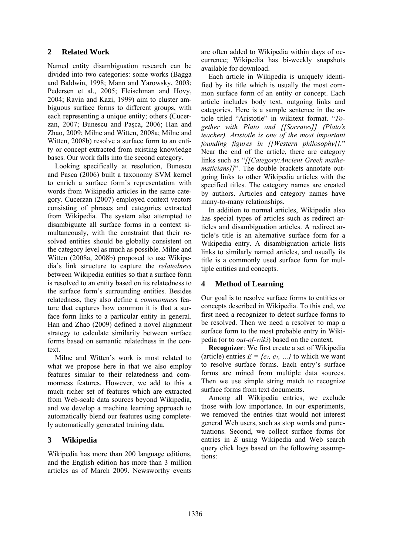### **2 Related Work**

Named entity disambiguation research can be divided into two categories: some works (Bagga and Baldwin, 1998; Mann and Yarowsky, 2003; Pedersen et al., 2005; Fleischman and Hovy, 2004; Ravin and Kazi, 1999) aim to cluster ambiguous surface forms to different groups, with each representing a unique entity; others (Cucerzan, 2007; Bunescu and Paşca, 2006; Han and Zhao, 2009; Milne and Witten, 2008a; Milne and Witten, 2008b) resolve a surface form to an entity or concept extracted from existing knowledge bases. Our work falls into the second category.

Looking specifically at resolution, Bunescu and Pasca (2006) built a taxonomy SVM kernel to enrich a surface form's representation with words from Wikipedia articles in the same category. Cucerzan (2007) employed context vectors consisting of phrases and categories extracted from Wikipedia. The system also attempted to disambiguate all surface forms in a context simultaneously, with the constraint that their resolved entities should be globally consistent on the category level as much as possible. Milne and Witten (2008a, 2008b) proposed to use Wikipedia's link structure to capture the *relatedness* between Wikipedia entities so that a surface form is resolved to an entity based on its relatedness to the surface form's surrounding entities. Besides relatedness, they also define a *commonness* feature that captures how common it is that a surface form links to a particular entity in general. Han and Zhao (2009) defined a novel alignment strategy to calculate similarity between surface forms based on semantic relatedness in the context.

Milne and Witten's work is most related to what we propose here in that we also employ features similar to their relatedness and commonness features. However, we add to this a much richer set of features which are extracted from Web-scale data sources beyond Wikipedia, and we develop a machine learning approach to automatically blend our features using completely automatically generated training data.

# **3 Wikipedia**

Wikipedia has more than 200 language editions, and the English edition has more than 3 million articles as of March 2009. Newsworthy events are often added to Wikipedia within days of occurrence; Wikipedia has bi-weekly snapshots available for download.

Each article in Wikipedia is uniquely identified by its title which is usually the most common surface form of an entity or concept. Each article includes body text, outgoing links and categories. Here is a sample sentence in the article titled "Aristotle" in wikitext format. "*Together with Plato and [[Socrates]] (Plato's teacher), Aristotle is one of the most important founding figures in [[Western philosophy]].*" Near the end of the article, there are category links such as "*[[Category:Ancient Greek mathematicians]]*". The double brackets annotate outgoing links to other Wikipedia articles with the specified titles. The category names are created by authors. Articles and category names have many-to-many relationships.

In addition to normal articles, Wikipedia also has special types of articles such as redirect articles and disambiguation articles. A redirect article's title is an alternative surface form for a Wikipedia entry. A disambiguation article lists links to similarly named articles, and usually its title is a commonly used surface form for multiple entities and concepts.

### **4 Method of Learning**

Our goal is to resolve surface forms to entities or concepts described in Wikipedia. To this end, we first need a recognizer to detect surface forms to be resolved. Then we need a resolver to map a surface form to the most probable entry in Wikipedia (or to *out-of-wiki*) based on the context.

**Recognizer**: We first create a set of Wikipedia (article) entries  $E = \{e_1, e_2, ...\}$  to which we want to resolve surface forms. Each entry's surface forms are mined from multiple data sources. Then we use simple string match to recognize surface forms from text documents.

Among all Wikipedia entries, we exclude those with low importance. In our experiments, we removed the entries that would not interest general Web users, such as stop words and punctuations. Second, we collect surface forms for entries in *E* using Wikipedia and Web search query click logs based on the following assumptions: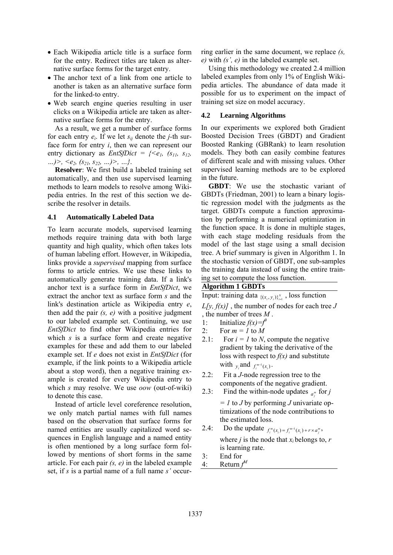- Each Wikipedia article title is a surface form for the entry. Redirect titles are taken as alternative surface forms for the target entry.
- The anchor text of a link from one article to another is taken as an alternative surface form for the linked-to entry.
- Web search engine queries resulting in user clicks on a Wikipedia article are taken as alternative surface forms for the entry.

As a result, we get a number of surface forms for each entry *ei*. If we let *sij* denote the *j-*th surface form for entry *i*, then we can represent our entry dictionary as *EntSfDict* =  $\{$ *…)>, <e2, (s21, s22, …)>, …}*.

**Resolver**: We first build a labeled training set automatically, and then use supervised learning methods to learn models to resolve among Wikipedia entries. In the rest of this section we describe the resolver in details.

### **4.1 Automatically Labeled Data**

To learn accurate models, supervised learning methods require training data with both large quantity and high quality, which often takes lots of human labeling effort. However, in Wikipedia, links provide a *supervised* mapping from surface forms to article entries. We use these links to automatically generate training data. If a link's anchor text is a surface form in *EntSfDict*, we extract the anchor text as surface form *s* and the link's destination article as Wikipedia entry *e*, then add the pair *(s, e)* with a positive judgment to our labeled example set. Continuing, we use *EntSfDict* to find other Wikipedia entries for which *s* is a surface form and create negative examples for these and add them to our labeled example set. If *e* does not exist in *EntSfDict* (for example, if the link points to a Wikipedia article about a stop word), then a negative training example is created for every Wikipedia entry to which *s* may resolve. We use *oow* (out-of-wiki) to denote this case.

Instead of article level coreference resolution, we only match partial names with full names based on the observation that surface forms for named entities are usually capitalized word sequences in English language and a named entity is often mentioned by a long surface form followed by mentions of short forms in the same article. For each pair *(s, e)* in the labeled example set, if *s* is a partial name of a full name *s'* occurring earlier in the same document, we replace *(s, e)* with *(s', e)* in the labeled example set.

Using this methodology we created 2.4 million labeled examples from only 1% of English Wikipedia articles. The abundance of data made it possible for us to experiment on the impact of training set size on model accuracy.

### **4.2 Learning Algorithms**

In our experiments we explored both Gradient Boosted Decision Trees (GBDT) and Gradient Boosted Ranking (GBRank) to learn resolution models. They both can easily combine features of different scale and with missing values. Other supervised learning methods are to be explored in the future.

**GBDT**: We use the stochastic variant of GBDTs (Friedman, 2001) to learn a binary logistic regression model with the judgments as the target. GBDTs compute a function approximation by performing a numerical optimization in the function space. It is done in multiple stages, with each stage modeling residuals from the model of the last stage using a small decision tree. A brief summary is given in Algorithm 1. In the stochastic version of GBDT, one sub-samples the training data instead of using the entire training set to compute the loss function.

# **Algorithm 1 GBDTs**

Input: training data  $\{ (x_i, y_i) \}_{i=1}^N$ , loss function

- $L[y, f(x)]$ , the number of nodes for each tree *J* , the number of trees *M* .
- 1: Initialize  $f(x) = f^0$
- 2: For  $m = 1$  to  $M$
- 2.1: For  $i = 1$  to *N*, compute the negative gradient by taking the derivative of the loss with respect to *f(x)* and substitute with  $y_i$  and  $f_i^{m-1}(x_i)$ .
- 2.2: Fit a *J*-node regression tree to the components of the negative gradient.
- 2.3: Find the within-node updates  $_{a_j^m}$  for *j*

*= 1* to *J* by performing *J* univariate optimizations of the node contributions to the estimated loss.

- 2.4: Do the update  $f_i^m(x_i) = f_i^{m-1}(x_i) + r \times a_j^m$ , where *j* is the node that  $x_i$  belongs to,  $r$ is learning rate.
- 3: End for
- 4: Return  $f^M$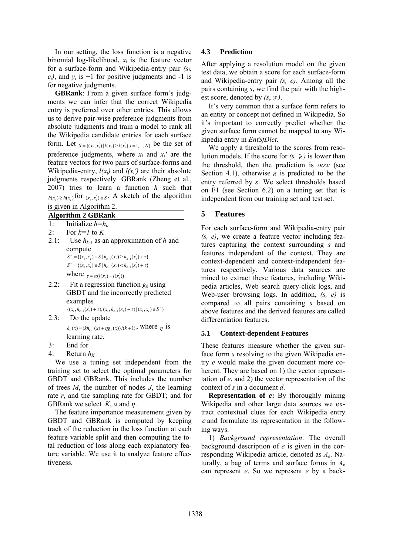In our setting, the loss function is a negative binomial log-likelihood,  $x_i$  is the feature vector for a surface-form and Wikipedia-entry pair *(si,*   $e_i$ , and  $y_i$  is +1 for positive judgments and -1 is for negative judgments.

**GBRank**: From a given surface form's judgments we can infer that the correct Wikipedia entry is preferred over other entries. This allows us to derive pair-wise preference judgments from absolute judgments and train a model to rank all the Wikipedia candidate entries for each surface form. Let  $_{S = \{(x_i, x_i) | l(x_i) \ge l(x_i), i=1,...,N\}}$  be the set of preference judgments, where  $x_i$  and  $x_i$  are the feature vectors for two pairs of surface-forms and Wikipedia-entry,  $l(x_i)$  and  $l(x_i')$  are their absolute judgments respectively. GBRank (Zheng et al., 2007) tries to learn a function *h* such that  $h(x_i) \ge h(x_i)$  for  $(x_i, x_i) \in S$ . A sketch of the algorithm

| is given in Algorithm 2.  |  |
|---------------------------|--|
| <b>Algorithm 2 GBRank</b> |  |

- 1: Initialize  $h=h_0$
- 2: For  $k=1$  to  $K$
- 2.1: Use  $h_{k-l}$  as an approximation of h and compute  ${S^+} = \{ (x_i, x_i) \in S \mid h_{k-1}(x_i) \geq h_{k-1}(x_i) + \tau \}$  ${S}^{\text{-}} = \{ (x_i, x_i) \in S \mid h_{k-1}(x_i) < h_{k-1}(x_i) + \tau \}$ where  $\tau = \alpha ( l(x_i) - l(x_i) )$
- 2.2: Fit a regression function  $g_k$  using GBDT and the incorrectly predicted examples
- $\{(x_i, h_{k-1}(x_i) + \tau), (x_i, h_{k-1}(x_i) \tau) | (x_i, x_i) \in S^{-}\}$ 2.3: Do the update  $h_k(x) = (kh_{k-1}(x) + \eta g_k(x))/(k+1)$ , where  $\eta$  is
	- learning rate.
- 3: End for
- 4: Return  $h_K$

We use a tuning set independent from the training set to select the optimal parameters for GBDT and GBRank. This includes the number of trees *M*, the number of nodes *J*, the learning rate *r*, and the sampling rate for GBDT; and for GBRank we select *K*, *α* and *η*.

The feature importance measurement given by GBDT and GBRank is computed by keeping track of the reduction in the loss function at each feature variable split and then computing the total reduction of loss along each explanatory feature variable. We use it to analyze feature effectiveness.

### **4.3 Prediction**

After applying a resolution model on the given test data, we obtain a score for each surface-form and Wikipedia-entry pair *(s, e)*. Among all the pairs containing *s*, we find the pair with the highest score, denoted by  $(s, \tilde{e})$ .

It's very common that a surface form refers to an entity or concept not defined in Wikipedia. So it's important to correctly predict whether the given surface form cannot be mapped to any Wikipedia entry in *EntSfDict*.

We apply a threshold to the scores from resolution models. If the score for  $(s, \tilde{e})$  is lower than the threshold, then the prediction is *oow* (see Section 4.1), otherwise  $\tilde{e}$  is predicted to be the entry referred by *s*. We select thresholds based on F1 (see Section 6.2) on a tuning set that is independent from our training set and test set.

### **5 Features**

For each surface-form and Wikipedia-entry pair *(s, e)*, we create a feature vector including features capturing the context surrounding *s* and features independent of the context. They are context-dependent and context-independent features respectively. Various data sources are mined to extract these features, including Wikipedia articles, Web search query-click logs, and Web-user browsing logs. In addition, *(s, e)* is compared to all pairs containing *s* based on above features and the derived features are called differentiation features.

### **5.1 Context-dependent Features**

These features measure whether the given surface form *s* resolving to the given Wikipedia entry *e* would make the given document more coherent. They are based on 1) the vector representation of *e*, and 2) the vector representation of the context of *s* in a document *d*.

**Representation of** *e***:** By thoroughly mining Wikipedia and other large data sources we extract contextual clues for each Wikipedia entry *e* and formulate its representation in the following ways.

1) *Background representation*. The overall background description of *e* is given in the corresponding Wikipedia article, denoted as *Ae*. Naturally, a bag of terms and surface forms in *Ae* can represent *e*. So we represent *e* by a back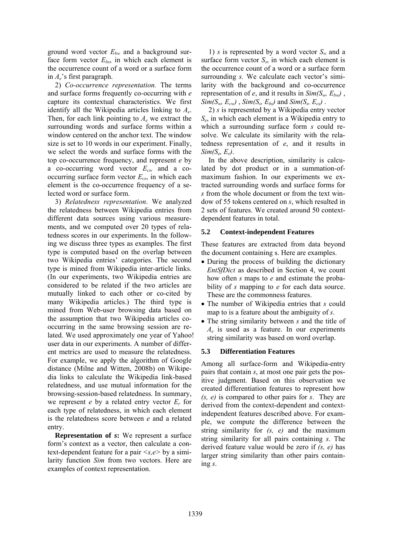ground word vector *Ebw* and a background surface form vector  $E_{bs}$ , in which each element is the occurrence count of a word or a surface form in *Ae*'s first paragraph.

2) *Co-occurrence representation.* The terms and surface forms frequently co-occurring with *e* capture its contextual characteristics. We first identify all the Wikipedia articles linking to *Ae*. Then, for each link pointing to  $A_e$  we extract the surrounding words and surface forms within a window centered on the anchor text. The window size is set to 10 words in our experiment. Finally, we select the words and surface forms with the top co-occurrence frequency, and represent *e* by a co-occurring word vector *Ecw* and a cooccurring surface form vector *Ecs*, in which each element is the co-occurrence frequency of a selected word or surface form.

3) *Relatedness representation*. We analyzed the relatedness between Wikipedia entries from different data sources using various measurements, and we computed over 20 types of relatedness scores in our experiments. In the following we discuss three types as examples. The first type is computed based on the overlap between two Wikipedia entries' categories. The second type is mined from Wikipedia inter-article links. (In our experiments, two Wikipedia entries are considered to be related if the two articles are mutually linked to each other or co-cited by many Wikipedia articles.) The third type is mined from Web-user browsing data based on the assumption that two Wikipedia articles cooccurring in the same browsing session are related. We used approximately one year of Yahoo! user data in our experiments. A number of different metrics are used to measure the relatedness. For example, we apply the algorithm of Google distance (Milne and Witten, 2008b) on Wikipedia links to calculate the Wikipedia link-based relatedness, and use mutual information for the browsing-session-based relatedness. In summary, we represent *e* by a related entry vector *Er* for each type of relatedness, in which each element is the relatedness score between *e* and a related entry.

**Representation of** *s***:** We represent a surface form's context as a vector, then calculate a context-dependent feature for a pair *<s,e>* by a similarity function *Sim* from two vectors. Here are examples of context representation.

1) *s* is represented by a word vector  $S_w$  and a surface form vector  $S_s$ , in which each element is the occurrence count of a word or a surface form surrounding *s.* We calculate each vector's similarity with the background and co-occurrence representation of *e*, and it results in  $Sim(S_w, E_{bw})$ ,  $Sim(S_w, E_{cw})$ ,  $Sim(S_s, E_{bs})$  and  $Sim(S_s, E_{cs})$ .

2) *s* is represented by a Wikipedia entry vector *Se*, in which each element is a Wikipedia entry to which a surrounding surface form *s* could resolve. We calculate its similarity with the relatedness representation of *e*, and it results in *Sim(Se, Er)*.

In the above description, similarity is calculated by dot product or in a summation-ofmaximum fashion. In our experiments we extracted surrounding words and surface forms for *s* from the whole document or from the text window of 55 tokens centered on *s*, which resulted in 2 sets of features. We created around 50 contextdependent features in total.

### **5.2 Context-independent Features**

These features are extracted from data beyond the document containing s. Here are examples.

- During the process of building the dictionary *EntSfDict* as described in Section 4, we count how often *s* maps to *e* and estimate the probability of *s* mapping to *e* for each data source. These are the commonness features.
- The number of Wikipedia entries that *s* could map to is a feature about the ambiguity of *s*.
- The string similarity between *s* and the title of *Ae* is used as a feature. In our experiments string similarity was based on word overlap.

#### **5.3 Differentiation Features**

Among all surface-form and Wikipedia-entry pairs that contain *s*, at most one pair gets the positive judgment. Based on this observation we created differentiation features to represent how *(s, e)* is compared to other pairs for *s*. They are derived from the context-dependent and contextindependent features described above. For example, we compute the difference between the string similarity for *(s, e)* and the maximum string similarity for all pairs containing *s*. The derived feature value would be zero if *(s, e)* has larger string similarity than other pairs containing *s*.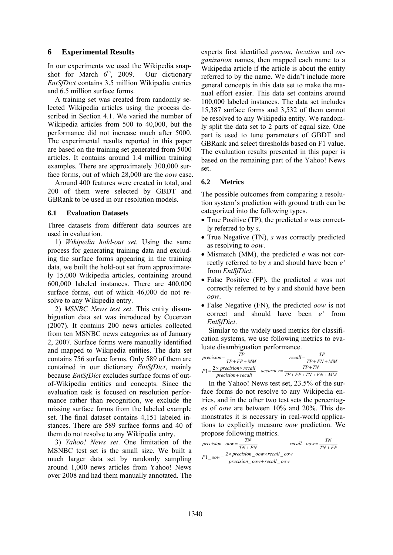### **6 Experimental Results**

In our experiments we used the Wikipedia snapshot for March  $6<sup>th</sup>$ , 2009. Our dictionary *EntSfDict* contains 3.5 million Wikipedia entries and 6.5 million surface forms.

A training set was created from randomly selected Wikipedia articles using the process described in Section 4.1. We varied the number of Wikipedia articles from 500 to 40,000, but the performance did not increase much after 5000. The experimental results reported in this paper are based on the training set generated from 5000 articles. It contains around 1.4 million training examples. There are approximately 300,000 surface forms, out of which 28,000 are the *oow* case.

Around 400 features were created in total, and 200 of them were selected by GBDT and GBRank to be used in our resolution models.

#### **6.1 Evaluation Datasets**

Three datasets from different data sources are used in evaluation.

1) *Wikipedia hold-out set*. Using the same process for generating training data and excluding the surface forms appearing in the training data, we built the hold-out set from approximately 15,000 Wikipedia articles, containing around 600,000 labeled instances. There are 400,000 surface forms, out of which 46,000 do not resolve to any Wikipedia entry.

2) *MSNBC News test set*. This entity disambiguation data set was introduced by Cucerzan (2007). It contains 200 news articles collected from ten MSNBC news categories as of January 2, 2007. Surface forms were manually identified and mapped to Wikipedia entities. The data set contains 756 surface forms. Only 589 of them are contained in our dictionary *EntSfDict*, mainly because *EntSfDict* excludes surface forms of outof-Wikipedia entities and concepts. Since the evaluation task is focused on resolution performance rather than recognition, we exclude the missing surface forms from the labeled example set. The final dataset contains 4,151 labeled instances. There are 589 surface forms and 40 of them do not resolve to any Wikipedia entry.

3) *Yahoo! News set*. One limitation of the MSNBC test set is the small size. We built a much larger data set by randomly sampling around 1,000 news articles from Yahoo! News over 2008 and had them manually annotated. The experts first identified *person*, *location* and *organization* names, then mapped each name to a Wikipedia article if the article is about the entity referred to by the name. We didn't include more general concepts in this data set to make the manual effort easier. This data set contains around 100,000 labeled instances. The data set includes 15,387 surface forms and 3,532 of them cannot be resolved to any Wikipedia entity. We randomly split the data set to 2 parts of equal size. One part is used to tune parameters of GBDT and GBRank and select thresholds based on F1 value. The evaluation results presented in this paper is based on the remaining part of the Yahoo! News set.

#### **6.2 Metrics**

The possible outcomes from comparing a resolution system's prediction with ground truth can be categorized into the following types.

- True Positive (TP), the predicted *e* was correctly referred to by *s*.
- True Negative (TN), *s* was correctly predicted as resolving to *oow*.
- Mismatch (MM), the predicted *e* was not correctly referred to by *s* and should have been *e'* from *EntSfDict*.
- False Positive (FP), the predicted *e* was not correctly referred to by *s* and should have been *oow*.
- False Negative (FN), the predicted *oow* is not correct and should have been *e'* from *EntSfDict*.

Similar to the widely used metrics for classification systems, we use following metrics to evaluate disambiguation performance.

| TР<br>$precision = -$      | TP<br>$recall = -$       |
|----------------------------|--------------------------|
| $TP + FP + MM$             | $TP + FN + MM$           |
| $-$ 2 × precision × recall | $TP+TN$<br>$accuracy =$  |
| $precision + recall$       | $TP + FP + TN + FN + MM$ |

In the Yahoo! News test set, 23.5% of the surface forms do not resolve to any Wikipedia entries, and in the other two test sets the percentages of *oow* are between 10% and 20%. This demonstrates it is necessary in real-world applications to explicitly measure *oow* prediction. We propose following metrics.

$$
precision_{10} = \frac{TN}{TN + FN}
$$
  

$$
F1_{200W} = \frac{2 \times precision_{20W} \times recall_{20W}}{precision_{20W} + recall_{20W}}
$$
  

$$
F1_{20W} = \frac{2 \times precision_{20W} \times recall_{20W}}{precision_{20W} + recall_{20W}}
$$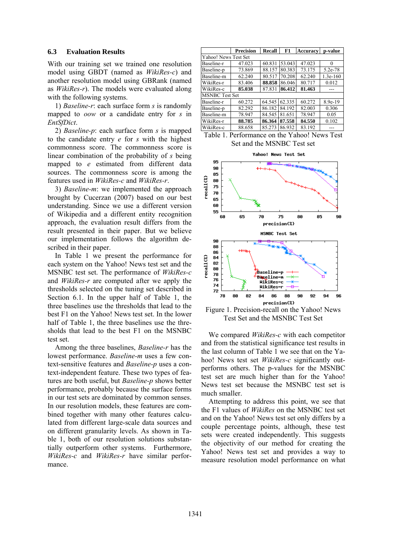#### **6.3 Evaluation Results**

With our training set we trained one resolution model using GBDT (named as *WikiRes-c*) and another resolution model using GBRank (named as *WikiRes-r*). The models were evaluated along with the following systems.

1) *Baseline-r*: each surface form *s* is randomly mapped to *oow* or a candidate entry for *s* in *EntSfDict*.

2) *Baseline-p*: each surface form *s* is mapped to the candidate entry *e* for *s* with the highest commonness score. The commonness score is linear combination of the probability of *s* being mapped to *e* estimated from different data sources. The commonness score is among the features used in *WikiRes-c* and *WikiRes-r*.

3) *Baseline-m*: we implemented the approach brought by Cucerzan (2007) based on our best understanding. Since we use a different version of Wikipedia and a different entity recognition approach, the evaluation result differs from the result presented in their paper. But we believe our implementation follows the algorithm described in their paper.

In Table 1 we present the performance for each system on the Yahoo! News test set and the MSNBC test set. The performance of *WikiRes-c* and *WikiRes-r* are computed after we apply the thresholds selected on the tuning set described in Section 6.1. In the upper half of Table 1, the three baselines use the thresholds that lead to the best F1 on the Yahoo! News test set. In the lower half of Table 1, the three baselines use the thresholds that lead to the best F1 on the MSNBC test set.

Among the three baselines, *Baseline-r* has the lowest performance. *Baseline-m* uses a few context-sensitive features and *Baseline-p* uses a context-independent feature. These two types of features are both useful, but *Baseline-p* shows better performance, probably because the surface forms in our test sets are dominated by common senses. In our resolution models, these features are combined together with many other features calculated from different large-scale data sources and on different granularity levels. As shown in Table 1, both of our resolution solutions substantially outperform other systems. Furthermore, *WikiRes-c* and *WikiRes-r* have similar performance.

|                       | <b>Precision</b> | Recall | F1     | <b>Accuracy</b> | p-value    |  |  |
|-----------------------|------------------|--------|--------|-----------------|------------|--|--|
| Yahoo! News Test Set  |                  |        |        |                 |            |  |  |
| Baseline-r            | 47.023           | 60.831 | 53.043 | 47.023          | 0          |  |  |
| Baseline-p            | 73.869           | 88.157 | 80.383 | 73.175          | 5.2e-78    |  |  |
| Baseline-m            | 62.240           | 80.517 | 70.208 | 62.240          | $1.3e-160$ |  |  |
| WikiRes-r             | 83.406           | 88.858 | 86.046 | 80.717          | 0.012      |  |  |
| WikiRes-c             | 85.038           | 87.831 | 86.412 | 81.463          |            |  |  |
| <b>MSNBC</b> Test Set |                  |        |        |                 |            |  |  |
| Baseline-r            | 60.272           | 64.545 | 62.335 | 60.272          | 8.9e-19    |  |  |
| Baseline-p            | 82.292           | 86.182 | 84.192 | 82.003          | 0.306      |  |  |
| Baseline-m            | 78.947           | 84.545 | 81.651 | 78.947          | 0.05       |  |  |
| WikiRes-r             | 88.785           | 86.364 | 87.558 | 84.550          | 0.102      |  |  |
| WikiRes-c             | 88.658           | 85.273 | 86.932 | 83.192          |            |  |  |

Table 1. Performance on the Yahoo! News Test Set and the MSNBC Test set



Figure 1. Precision-recall on the Yahoo! News Test Set and the MSNBC Test Set

We compared *WikiRes-c* with each competitor and from the statistical significance test results in the last column of Table 1 we see that on the Yahoo! News test set *WikiRes-c* significantly outperforms others. The p-values for the MSNBC test set are much higher than for the Yahoo! News test set because the MSNBC test set is much smaller.

Attempting to address this point, we see that the F1 values of *WikiRes* on the MSNBC test set and on the Yahoo! News test set only differs by a couple percentage points, although, these test sets were created independently. This suggests the objectivity of our method for creating the Yahoo! News test set and provides a way to measure resolution model performance on what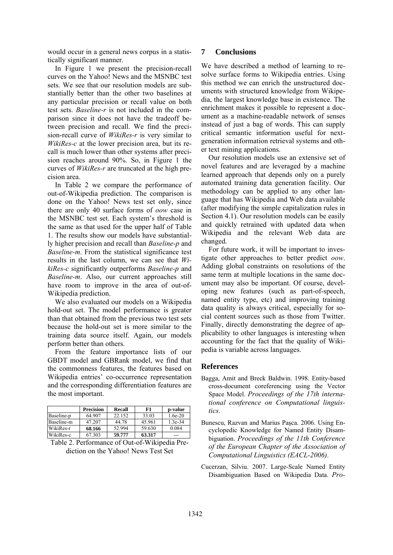would occur in a general news corpus in a statistically significant manner.

In Figure 1 we present the precision-recall curves on the Yahoo! News and the MSNBC test sets. We see that our resolution models are substantially better than the other two baselines at any particular precision or recall value on both test sets. *Baseline-r* is not included in the comparison since it does not have the tradeoff between precision and recall. We find the precision-recall curve of *WikiRes-r* is very similar to *WikiRes-c* at the lower precision area, but its recall is much lower than other systems after precision reaches around 90%. So, in Figure 1 the curves of *WikiRes-r* are truncated at the high precision area.

In Table 2 we compare the performance of out-of-Wikipedia prediction. The comparison is done on the Yahoo! News test set only, since there are only 40 surface forms of *oow* case in the MSNBC test set. Each system's threshold is the same as that used for the upper half of Table 1. The results show our models have substantially higher precision and recall than *Baseline-p* and *Baseline-m*. From the statistical significance test results in the last column, we can see that *WikiRes-c* significantly outperforms *Baseline-p* and *Baseline-m*. Also, our current approaches still have room to improve in the area of out-of-Wikipedia prediction.

We also evaluated our models on a Wikipedia hold-out set. The model performance is greater than that obtained from the previous two test sets because the hold-out set is more similar to the training data source itself. Again, our models perform better than others.

From the feature importance lists of our GBDT model and GBRank model, we find that the commonness features, the features based on Wikipedia entries' co-occurrence representation and the corresponding differentiation features are the most important.

|            | <b>Precision</b> | <b>Recall</b> | F1     | p-value   |
|------------|------------------|---------------|--------|-----------|
| Baseline-p | 64.907           | 22.152        | 33.03  | $1.6e-20$ |
| Baseline-m | 47.207           | 44.78         | 45.961 | $1.3e-34$ |
| WikiRes-r  | 68.166           | 52.994        | 59.630 | 0.084     |
| WikiRes-c  | 67.303           | 59.777        | 63.317 | ---       |

Table 2. Performance of Out-of-Wikipedia Prediction on the Yahoo! News Test Set

### **7 Conclusions**

We have described a method of learning to resolve surface forms to Wikipedia entries. Using this method we can enrich the unstructured documents with structured knowledge from Wikipedia, the largest knowledge base in existence. The enrichment makes it possible to represent a document as a machine-readable network of senses instead of just a bag of words. This can supply critical semantic information useful for nextgeneration information retrieval systems and other text mining applications.

Our resolution models use an extensive set of novel features and are leveraged by a machine learned approach that depends only on a purely automated training data generation facility. Our methodology can be applied to any other language that has Wikipedia and Web data available (after modifying the simple capitalization rules in Section 4.1). Our resolution models can be easily and quickly retrained with updated data when Wikipedia and the relevant Web data are changed.

For future work, it will be important to investigate other approaches to better predict *oow*. Adding global constraints on resolutions of the same term at multiple locations in the same document may also be important. Of course, developing new features (such as part-of-speech, named entity type, etc) and improving training data quality is always critical, especially for social content sources such as those from Twitter. Finally, directly demonstrating the degree of applicability to other languages is interesting when accounting for the fact that the quality of Wikipedia is variable across languages.

### **References**

- Bagga, Amit and Breck Baldwin. 1998. Entity-based cross-document coreferencing using the Vector Space Model. *Proceedings of the 17th international conference on Computational linguistics*.
- Bunescu, Razvan and Marius Paşca. 2006. Using Encyclopedic Knowledge for Named Entity Disambiguation. *Proceedings of the 11th Conference of the European Chapter of the Association of Computational Linguistics (EACL-2006)*.
- Cucerzan, Silviu. 2007. Large-Scale Named Entity Disambiguation Based on Wikipedia Data. *Pro-*